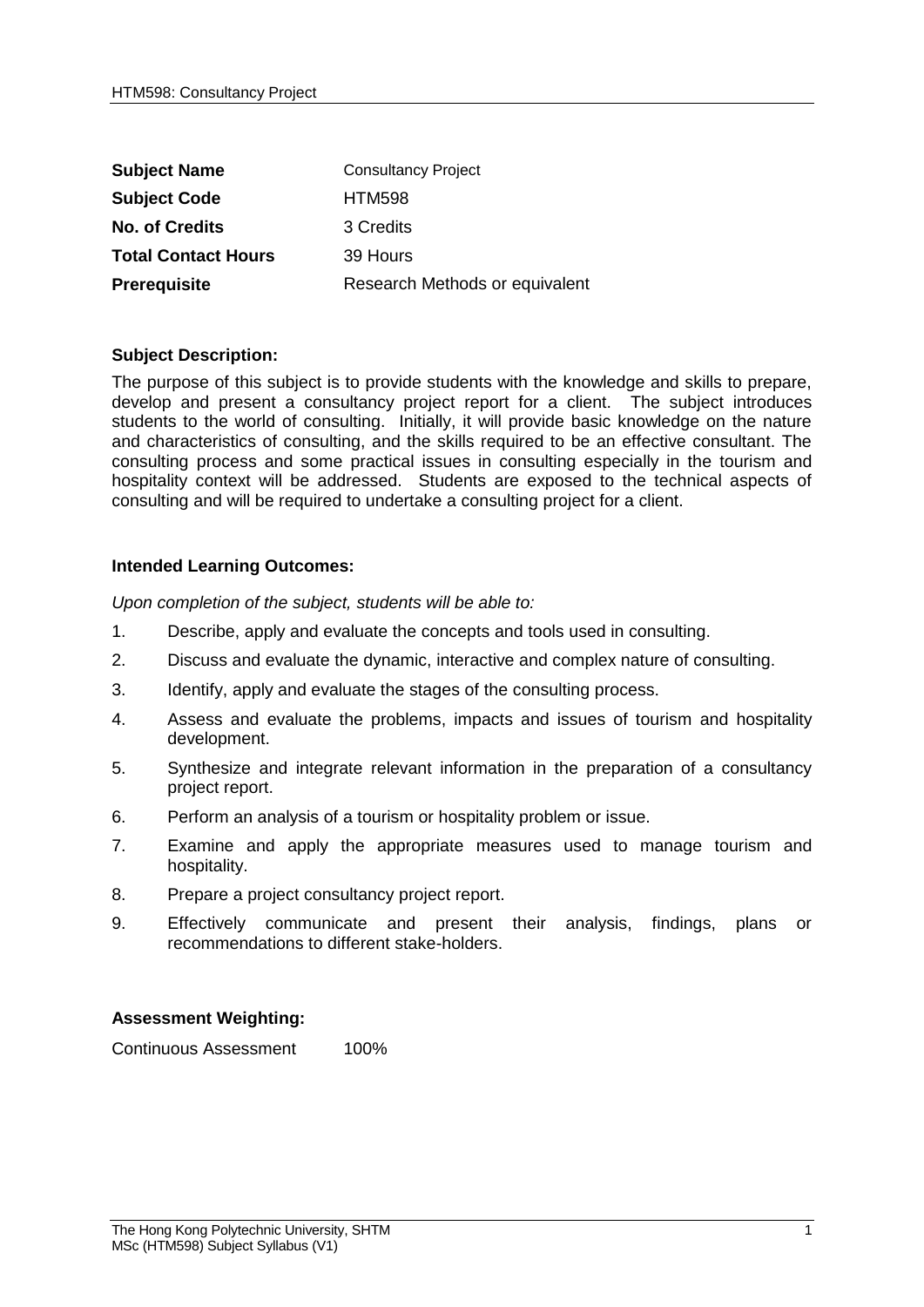| <b>Subject Name</b>        | <b>Consultancy Project</b>     |
|----------------------------|--------------------------------|
| <b>Subject Code</b>        | <b>HTM598</b>                  |
| <b>No. of Credits</b>      | 3 Credits                      |
| <b>Total Contact Hours</b> | 39 Hours                       |
| Prerequisite               | Research Methods or equivalent |

## **Subject Description:**

The purpose of this subject is to provide students with the knowledge and skills to prepare, develop and present a consultancy project report for a client. The subject introduces students to the world of consulting. Initially, it will provide basic knowledge on the nature and characteristics of consulting, and the skills required to be an effective consultant. The consulting process and some practical issues in consulting especially in the tourism and hospitality context will be addressed. Students are exposed to the technical aspects of consulting and will be required to undertake a consulting project for a client.

## **Intended Learning Outcomes:**

*Upon completion of the subject, students will be able to:*

- 1. Describe, apply and evaluate the concepts and tools used in consulting.
- 2. Discuss and evaluate the dynamic, interactive and complex nature of consulting.
- 3. Identify, apply and evaluate the stages of the consulting process.
- 4. Assess and evaluate the problems, impacts and issues of tourism and hospitality development.
- 5. Synthesize and integrate relevant information in the preparation of a consultancy project report.
- 6. Perform an analysis of a tourism or hospitality problem or issue.
- 7. Examine and apply the appropriate measures used to manage tourism and hospitality.
- 8. Prepare a project consultancy project report.
- 9. Effectively communicate and present their analysis, findings, plans or recommendations to different stake-holders.

## **Assessment Weighting:**

Continuous Assessment 100%